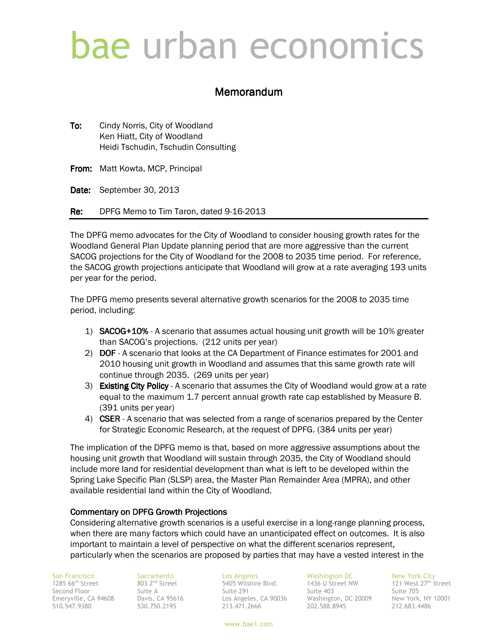# bae urban economics

# Memorandum

To: Cindy Norris, City of Woodland Ken Hiatt, City of Woodland Heidi Tschudin, Tschudin Consulting

From: Matt Kowta, MCP, Principal

Date: September 30, 2013

Re: DPFG Memo to Tim Taron, dated 9-16-2013

The DPFG memo advocates for the City of Woodland to consider housing growth rates for the Woodland General Plan Update planning period that are more aggressive than the current SACOG projections for the City of Woodland for the 2008 to 2035 time period. For reference, the SACOG growth projections anticipate that Woodland will grow at a rate averaging 193 units per year for the period.

The DPFG memo presents several alternative growth scenarios for the 2008 to 2035 time period, including:

- 1) SACOG+10% A scenario that assumes actual housing unit growth will be 10% greater than SACOG's projections. (212 units per year)
- 2) DOF A scenario that looks at the CA Department of Finance estimates for 2001 and 2010 housing unit growth in Woodland and assumes that this same growth rate will continue through 2035. (269 units per year)
- 3) Existing City Policy A scenario that assumes the City of Woodland would grow at a rate equal to the maximum 1.7 percent annual growth rate cap established by Measure B. (391 units per year)
- 4) CSER A scenario that was selected from a range of scenarios prepared by the Center for Strategic Economic Research, at the request of DPFG. (384 units per year)

The implication of the DPFG memo is that, based on more aggressive assumptions about the housing unit growth that Woodland will sustain through 2035, the City of Woodland should include more land for residential development than what is left to be developed within the Spring Lake Specific Plan (SLSP) area, the Master Plan Remainder Area (MPRA), and other available residential land within the City of Woodland.

#### Commentary on DPFG Growth Projections

Considering alternative growth scenarios is a useful exercise in a long-range planning process, when there are many factors which could have an unanticipated effect on outcomes. It is also important to maintain a level of perspective on what the different scenarios represent, particularly when the scenarios are proposed by parties that may have a vested interest in the

San Francisco<br>1285 66<sup>th</sup> Street 803 2<sup>nd</sup> Street<br>Second Floor 500 Suite A

San Francisco Sacramento Los Angeles Washington DC New York City nd Street 5405 Wilshire Blvd. 1436 U Street NW 121 West 27th Street Second Floor Suite A Suite 291 Suite 403 Suite 705 Emeryville, CA 94608 Davis, CA 95616 Los Angeles, CA 90036 Washington, DC 20009 New York, NY 10001 510.547.9380 530.750.2195 213.471.2666 202.588.8945 212.683.4486

www.bae1.com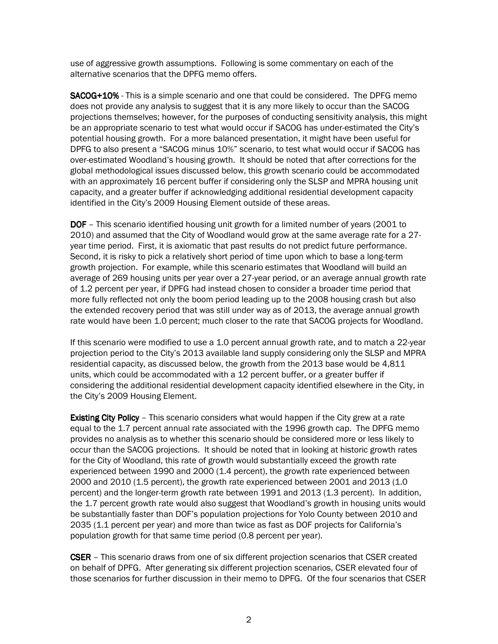use of aggressive growth assumptions. Following is some commentary on each of the alternative scenarios that the DPFG memo offers.

SACOG+10% - This is a simple scenario and one that could be considered. The DPFG memo does not provide any analysis to suggest that it is any more likely to occur than the SACOG projections themselves; however, for the purposes of conducting sensitivity analysis, this might be an appropriate scenario to test what would occur if SACOG has under-estimated the City's potential housing growth. For a more balanced presentation, it might have been useful for DPFG to also present a "SACOG minus 10%" scenario, to test what would occur if SACOG has over-estimated Woodland's housing growth. It should be noted that after corrections for the global methodological issues discussed below, this growth scenario could be accommodated with an approximately 16 percent buffer if considering only the SLSP and MPRA housing unit capacity, and a greater buffer if acknowledging additional residential development capacity identified in the City's 2009 Housing Element outside of these areas.

**DOF** – This scenario identified housing unit growth for a limited number of years (2001 to 2010) and assumed that the City of Woodland would grow at the same average rate for a 27 year time period. First, it is axiomatic that past results do not predict future performance. Second, it is risky to pick a relatively short period of time upon which to base a long-term growth projection. For example, while this scenario estimates that Woodland will build an average of 269 housing units per year over a 27-year period, or an average annual growth rate of 1.2 percent per year, if DPFG had instead chosen to consider a broader time period that more fully reflected not only the boom period leading up to the 2008 housing crash but also the extended recovery period that was still under way as of 2013, the average annual growth rate would have been 1.0 percent; much closer to the rate that SACOG projects for Woodland.

If this scenario were modified to use a 1.0 percent annual growth rate, and to match a 22-year projection period to the City's 2013 available land supply considering only the SLSP and MPRA residential capacity, as discussed below, the growth from the 2013 base would be 4,811 units, which could be accommodated with a 12 percent buffer, or a greater buffer if considering the additional residential development capacity identified elsewhere in the City, in the City's 2009 Housing Element.

Existing City Policy – This scenario considers what would happen if the City grew at a rate equal to the 1.7 percent annual rate associated with the 1996 growth cap. The DPFG memo provides no analysis as to whether this scenario should be considered more or less likely to occur than the SACOG projections. It should be noted that in looking at historic growth rates for the City of Woodland, this rate of growth would substantially exceed the growth rate experienced between 1990 and 2000 (1.4 percent), the growth rate experienced between 2000 and 2010 (1.5 percent), the growth rate experienced between 2001 and 2013 (1.0 percent) and the longer-term growth rate between 1991 and 2013 (1.3 percent). In addition, the 1.7 percent growth rate would also suggest that Woodland's growth in housing units would be substantially faster than DOF's population projections for Yolo County between 2010 and 2035 (1.1 percent per year) and more than twice as fast as DOF projects for California's population growth for that same time period (0.8 percent per year).

**CSER** – This scenario draws from one of six different projection scenarios that CSER created on behalf of DPFG. After generating six different projection scenarios, CSER elevated four of those scenarios for further discussion in their memo to DPFG. Of the four scenarios that CSER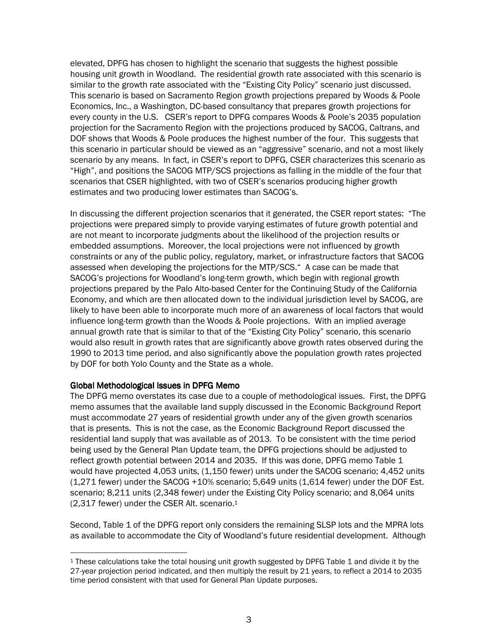elevated, DPFG has chosen to highlight the scenario that suggests the highest possible housing unit growth in Woodland. The residential growth rate associated with this scenario is similar to the growth rate associated with the "Existing City Policy" scenario just discussed. This scenario is based on Sacramento Region growth projections prepared by Woods & Poole Economics, Inc., a Washington, DC-based consultancy that prepares growth projections for every county in the U.S. CSER's report to DPFG compares Woods & Poole's 2035 population projection for the Sacramento Region with the projections produced by SACOG, Caltrans, and DOF shows that Woods & Poole produces the highest number of the four. This suggests that this scenario in particular should be viewed as an "aggressive" scenario, and not a most likely scenario by any means. In fact, in CSER's report to DPFG, CSER characterizes this scenario as "High", and positions the SACOG MTP/SCS projections as falling in the middle of the four that scenarios that CSER highlighted, with two of CSER's scenarios producing higher growth estimates and two producing lower estimates than SACOG's.

In discussing the different projection scenarios that it generated, the CSER report states: "The projections were prepared simply to provide varying estimates of future growth potential and are not meant to incorporate judgments about the likelihood of the projection results or embedded assumptions. Moreover, the local projections were not influenced by growth constraints or any of the public policy, regulatory, market, or infrastructure factors that SACOG assessed when developing the projections for the MTP/SCS." A case can be made that SACOG's projections for Woodland's long-term growth, which begin with regional growth projections prepared by the Palo Alto-based Center for the Continuing Study of the California Economy, and which are then allocated down to the individual jurisdiction level by SACOG, are likely to have been able to incorporate much more of an awareness of local factors that would influence long-term growth than the Woods & Poole projections. With an implied average annual growth rate that is similar to that of the "Existing City Policy" scenario, this scenario would also result in growth rates that are significantly above growth rates observed during the 1990 to 2013 time period, and also significantly above the population growth rates projected by DOF for both Yolo County and the State as a whole.

#### Global Methodological Issues in DPFG Memo

l

The DPFG memo overstates its case due to a couple of methodological issues. First, the DPFG memo assumes that the available land supply discussed in the Economic Background Report must accommodate 27 years of residential growth under any of the given growth scenarios that is presents. This is not the case, as the Economic Background Report discussed the residential land supply that was available as of 2013. To be consistent with the time period being used by the General Plan Update team, the DPFG projections should be adjusted to reflect growth potential between 2014 and 2035. If this was done, DPFG memo Table 1 would have projected 4,053 units, (1,150 fewer) units under the SACOG scenario; 4,452 units (1,271 fewer) under the SACOG +10% scenario; 5,649 units (1,614 fewer) under the DOF Est. scenario; 8,211 units (2,348 fewer) under the Existing City Policy scenario; and 8,064 units (2,317 fewer) under the CSER Alt. scenario.<sup>1</sup>

Second, Table 1 of the DPFG report only considers the remaining SLSP lots and the MPRA lots as available to accommodate the City of Woodland's future residential development. Although

 $1$  These calculations take the total housing unit growth suggested by DPFG Table 1 and divide it by the 27-year projection period indicated, and then multiply the result by 21 years, to reflect a 2014 to 2035 time period consistent with that used for General Plan Update purposes.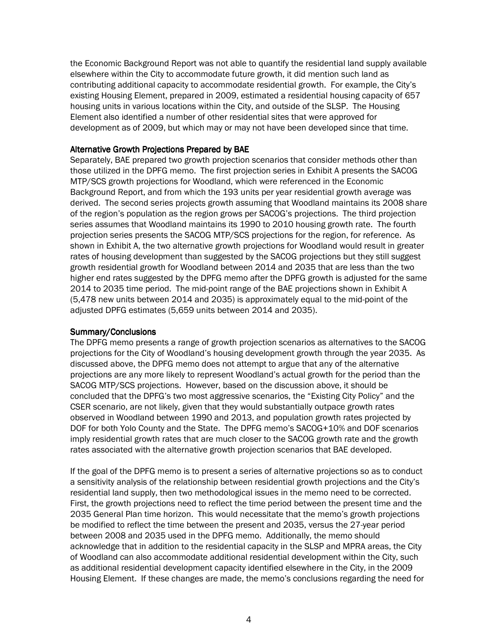the Economic Background Report was not able to quantify the residential land supply available elsewhere within the City to accommodate future growth, it did mention such land as contributing additional capacity to accommodate residential growth. For example, the City's existing Housing Element, prepared in 2009, estimated a residential housing capacity of 657 housing units in various locations within the City, and outside of the SLSP. The Housing Element also identified a number of other residential sites that were approved for development as of 2009, but which may or may not have been developed since that time.

## Alternative Growth Projections Prepared by BAE

Separately, BAE prepared two growth projection scenarios that consider methods other than those utilized in the DPFG memo. The first projection series in Exhibit A presents the SACOG MTP/SCS growth projections for Woodland, which were referenced in the Economic Background Report, and from which the 193 units per year residential growth average was derived. The second series projects growth assuming that Woodland maintains its 2008 share of the region's population as the region grows per SACOG's projections. The third projection series assumes that Woodland maintains its 1990 to 2010 housing growth rate. The fourth projection series presents the SACOG MTP/SCS projections for the region, for reference. As shown in Exhibit A, the two alternative growth projections for Woodland would result in greater rates of housing development than suggested by the SACOG projections but they still suggest growth residential growth for Woodland between 2014 and 2035 that are less than the two higher end rates suggested by the DPFG memo after the DPFG growth is adjusted for the same 2014 to 2035 time period. The mid-point range of the BAE projections shown in Exhibit A (5,478 new units between 2014 and 2035) is approximately equal to the mid-point of the adjusted DPFG estimates (5,659 units between 2014 and 2035).

#### Summary/Conclusions

The DPFG memo presents a range of growth projection scenarios as alternatives to the SACOG projections for the City of Woodland's housing development growth through the year 2035. As discussed above, the DPFG memo does not attempt to argue that any of the alternative projections are any more likely to represent Woodland's actual growth for the period than the SACOG MTP/SCS projections. However, based on the discussion above, it should be concluded that the DPFG's two most aggressive scenarios, the "Existing City Policy" and the CSER scenario, are not likely, given that they would substantially outpace growth rates observed in Woodland between 1990 and 2013, and population growth rates projected by DOF for both Yolo County and the State. The DPFG memo's SACOG+10% and DOF scenarios imply residential growth rates that are much closer to the SACOG growth rate and the growth rates associated with the alternative growth projection scenarios that BAE developed.

If the goal of the DPFG memo is to present a series of alternative projections so as to conduct a sensitivity analysis of the relationship between residential growth projections and the City's residential land supply, then two methodological issues in the memo need to be corrected. First, the growth projections need to reflect the time period between the present time and the 2035 General Plan time horizon. This would necessitate that the memo's growth projections be modified to reflect the time between the present and 2035, versus the 27-year period between 2008 and 2035 used in the DPFG memo. Additionally, the memo should acknowledge that in addition to the residential capacity in the SLSP and MPRA areas, the City of Woodland can also accommodate additional residential development within the City, such as additional residential development capacity identified elsewhere in the City, in the 2009 Housing Element. If these changes are made, the memo's conclusions regarding the need for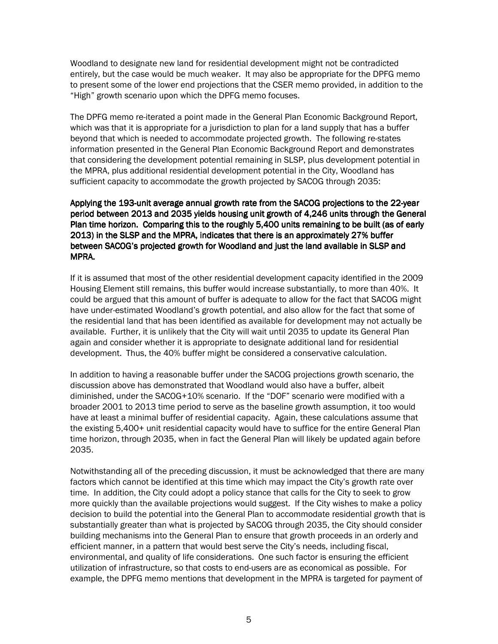Woodland to designate new land for residential development might not be contradicted entirely, but the case would be much weaker. It may also be appropriate for the DPFG memo to present some of the lower end projections that the CSER memo provided, in addition to the "High" growth scenario upon which the DPFG memo focuses.

The DPFG memo re-iterated a point made in the General Plan Economic Background Report, which was that it is appropriate for a jurisdiction to plan for a land supply that has a buffer beyond that which is needed to accommodate projected growth. The following re-states information presented in the General Plan Economic Background Report and demonstrates that considering the development potential remaining in SLSP, plus development potential in the MPRA, plus additional residential development potential in the City, Woodland has sufficient capacity to accommodate the growth projected by SACOG through 2035:

Applying the 193-unit average annual growth rate from the SACOG projections to the 22-year period between 2013 and 2035 yields housing unit growth of 4,246 units through the General Plan time horizon. Comparing this to the roughly 5,400 units remaining to be built (as of early 2013) in the SLSP and the MPRA, indicates that there is an approximately 27% buffer between SACOG's projected growth for Woodland and just the land available in SLSP and MPRA.

If it is assumed that most of the other residential development capacity identified in the 2009 Housing Element still remains, this buffer would increase substantially, to more than 40%. It could be argued that this amount of buffer is adequate to allow for the fact that SACOG might have under-estimated Woodland's growth potential, and also allow for the fact that some of the residential land that has been identified as available for development may not actually be available. Further, it is unlikely that the City will wait until 2035 to update its General Plan again and consider whether it is appropriate to designate additional land for residential development. Thus, the 40% buffer might be considered a conservative calculation.

In addition to having a reasonable buffer under the SACOG projections growth scenario, the discussion above has demonstrated that Woodland would also have a buffer, albeit diminished, under the SACOG+10% scenario. If the "DOF" scenario were modified with a broader 2001 to 2013 time period to serve as the baseline growth assumption, it too would have at least a minimal buffer of residential capacity. Again, these calculations assume that the existing 5,400+ unit residential capacity would have to suffice for the entire General Plan time horizon, through 2035, when in fact the General Plan will likely be updated again before 2035.

Notwithstanding all of the preceding discussion, it must be acknowledged that there are many factors which cannot be identified at this time which may impact the City's growth rate over time. In addition, the City could adopt a policy stance that calls for the City to seek to grow more quickly than the available projections would suggest. If the City wishes to make a policy decision to build the potential into the General Plan to accommodate residential growth that is substantially greater than what is projected by SACOG through 2035, the City should consider building mechanisms into the General Plan to ensure that growth proceeds in an orderly and efficient manner, in a pattern that would best serve the City's needs, including fiscal, environmental, and quality of life considerations. One such factor is ensuring the efficient utilization of infrastructure, so that costs to end-users are as economical as possible. For example, the DPFG memo mentions that development in the MPRA is targeted for payment of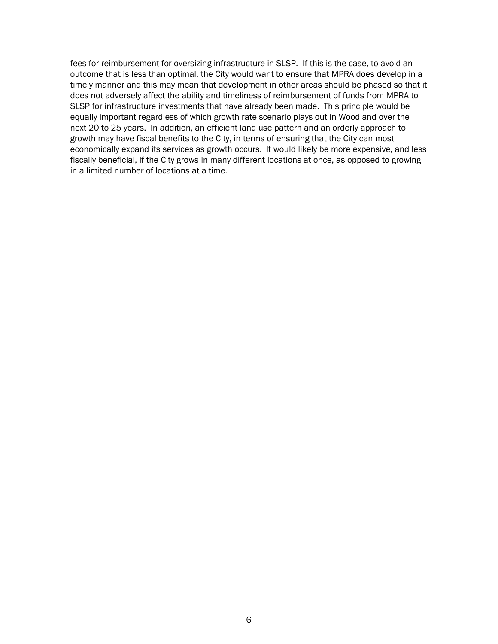fees for reimbursement for oversizing infrastructure in SLSP. If this is the case, to avoid an outcome that is less than optimal, the City would want to ensure that MPRA does develop in a timely manner and this may mean that development in other areas should be phased so that it does not adversely affect the ability and timeliness of reimbursement of funds from MPRA to SLSP for infrastructure investments that have already been made. This principle would be equally important regardless of which growth rate scenario plays out in Woodland over the next 20 to 25 years. In addition, an efficient land use pattern and an orderly approach to growth may have fiscal benefits to the City, in terms of ensuring that the City can most economically expand its services as growth occurs. It would likely be more expensive, and less fiscally beneficial, if the City grows in many different locations at once, as opposed to growing in a limited number of locations at a time.